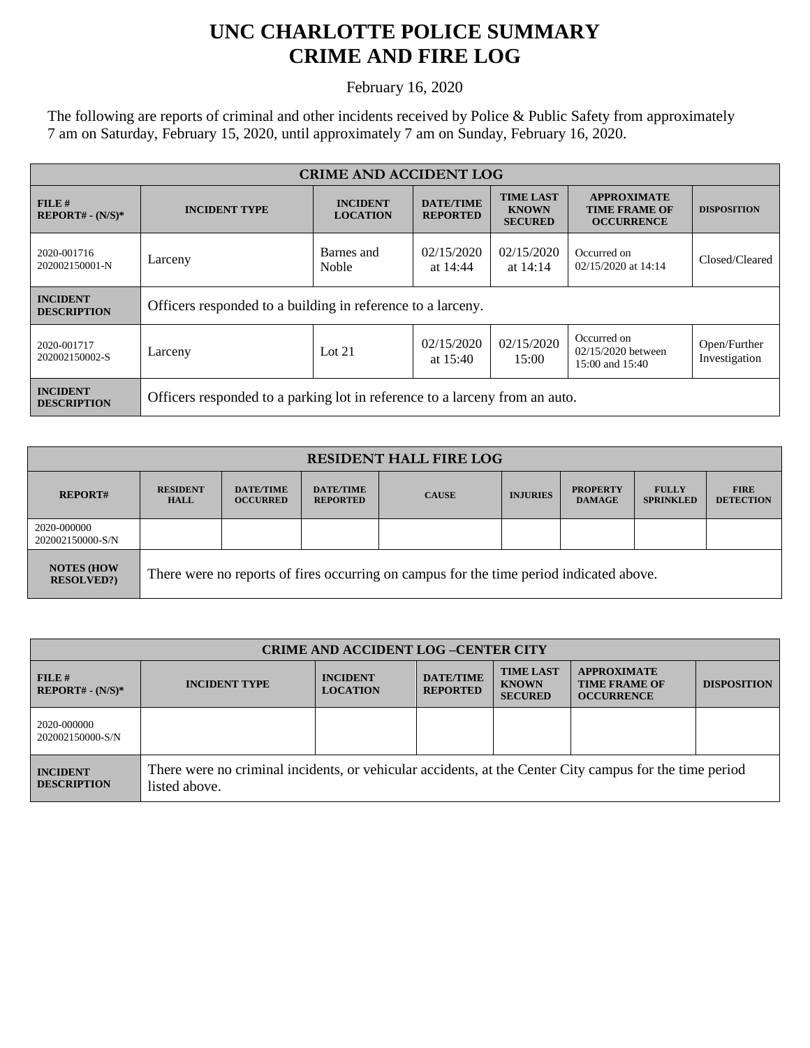## **UNC CHARLOTTE POLICE SUMMARY CRIME AND FIRE LOG**

February 16, 2020

The following are reports of criminal and other incidents received by Police & Public Safety from approximately 7 am on Saturday, February 15, 2020, until approximately 7 am on Sunday, February 16, 2020.

| <b>CRIME AND ACCIDENT LOG</b>         |                                                                             |                                    |                                     |                                                    |                                                                 |                               |
|---------------------------------------|-----------------------------------------------------------------------------|------------------------------------|-------------------------------------|----------------------------------------------------|-----------------------------------------------------------------|-------------------------------|
| FILE#<br>$REPORT# - (N/S)*$           | <b>INCIDENT TYPE</b>                                                        | <b>INCIDENT</b><br><b>LOCATION</b> | <b>DATE/TIME</b><br><b>REPORTED</b> | <b>TIME LAST</b><br><b>KNOWN</b><br><b>SECURED</b> | <b>APPROXIMATE</b><br><b>TIME FRAME OF</b><br><b>OCCURRENCE</b> | <b>DISPOSITION</b>            |
| 2020-001716<br>202002150001-N         | Larceny                                                                     | Barnes and<br><b>Noble</b>         | 02/15/2020<br>at 14:44              | 02/15/2020<br>at $14:14$                           | Occurred on<br>02/15/2020 at 14:14                              | Closed/Cleared                |
| <b>INCIDENT</b><br><b>DESCRIPTION</b> | Officers responded to a building in reference to a larceny.                 |                                    |                                     |                                                    |                                                                 |                               |
| 2020-001717<br>202002150002-S         | Larceny                                                                     | Lot $21$                           | 02/15/2020<br>at $15:40$            | 02/15/2020<br>15:00                                | Occurred on<br>02/15/2020 between<br>15:00 and 15:40            | Open/Further<br>Investigation |
| <b>INCIDENT</b><br><b>DESCRIPTION</b> | Officers responded to a parking lot in reference to a larceny from an auto. |                                    |                                     |                                                    |                                                                 |                               |

| <b>RESIDENT HALL FIRE LOG</b>         |                                                                                         |                                     |                                     |              |                 |                                  |                                  |                                 |
|---------------------------------------|-----------------------------------------------------------------------------------------|-------------------------------------|-------------------------------------|--------------|-----------------|----------------------------------|----------------------------------|---------------------------------|
| <b>REPORT#</b>                        | <b>RESIDENT</b><br><b>HALL</b>                                                          | <b>DATE/TIME</b><br><b>OCCURRED</b> | <b>DATE/TIME</b><br><b>REPORTED</b> | <b>CAUSE</b> | <b>INJURIES</b> | <b>PROPERTY</b><br><b>DAMAGE</b> | <b>FULLY</b><br><b>SPRINKLED</b> | <b>FIRE</b><br><b>DETECTION</b> |
| 2020-000000<br>202002150000-S/N       |                                                                                         |                                     |                                     |              |                 |                                  |                                  |                                 |
| <b>NOTES (HOW</b><br><b>RESOLVED?</b> | There were no reports of fires occurring on campus for the time period indicated above. |                                     |                                     |              |                 |                                  |                                  |                                 |

| <b>CRIME AND ACCIDENT LOG-CENTER CITY</b> |                                                                                                                          |                                    |                                     |                                                    |                                                                 |                    |
|-------------------------------------------|--------------------------------------------------------------------------------------------------------------------------|------------------------------------|-------------------------------------|----------------------------------------------------|-----------------------------------------------------------------|--------------------|
| FILE#<br>$REPORT# - (N/S)*$               | <b>INCIDENT TYPE</b>                                                                                                     | <b>INCIDENT</b><br><b>LOCATION</b> | <b>DATE/TIME</b><br><b>REPORTED</b> | <b>TIME LAST</b><br><b>KNOWN</b><br><b>SECURED</b> | <b>APPROXIMATE</b><br><b>TIME FRAME OF</b><br><b>OCCURRENCE</b> | <b>DISPOSITION</b> |
| 2020-000000<br>202002150000-S/N           |                                                                                                                          |                                    |                                     |                                                    |                                                                 |                    |
| <b>INCIDENT</b><br><b>DESCRIPTION</b>     | There were no criminal incidents, or vehicular accidents, at the Center City campus for the time period<br>listed above. |                                    |                                     |                                                    |                                                                 |                    |